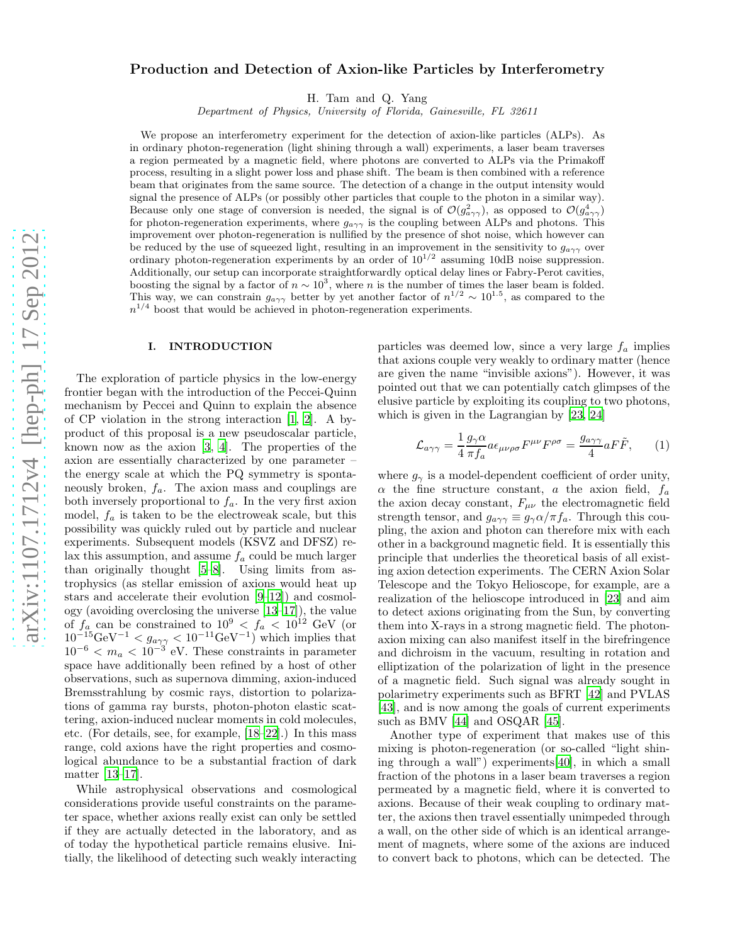# arXiv:1107.1712v4 [hep-ph] 17 Sep 2012 [arXiv:1107.1712v4 \[hep-ph\] 17 Sep 2012](http://arxiv.org/abs/1107.1712v4)

# Production and Detection of Axion-like Particles by Interferometry

H. Tam and Q. Yang

Department of Physics, University of Florida, Gainesville, FL 32611

We propose an interferometry experiment for the detection of axion-like particles (ALPs). As in ordinary photon-regeneration (light shining through a wall) experiments, a laser beam traverses a region permeated by a magnetic field, where photons are converted to ALPs via the Primakoff process, resulting in a slight power loss and phase shift. The beam is then combined with a reference beam that originates from the same source. The detection of a change in the output intensity would signal the presence of ALPs (or possibly other particles that couple to the photon in a similar way). Because only one stage of conversion is needed, the signal is of  $\mathcal{O}(g_{a\gamma\gamma}^2)$ , as opposed to  $\mathcal{O}(g_{a\gamma\gamma}^4)$ for photon-regeneration experiments, where  $g_{\alpha\gamma\gamma}$  is the coupling between ALPs and photons. This improvement over photon-regeneration is nullified by the presence of shot noise, which however can be reduced by the use of squeezed light, resulting in an improvement in the sensitivity to  $g_{a\gamma\gamma}$  over ordinary photon-regeneration experiments by an order of  $10^{1/2}$  assuming 10dB noise suppression. Additionally, our setup can incorporate straightforwardly optical delay lines or Fabry-Perot cavities, boosting the signal by a factor of  $n \sim 10^3$ , where n is the number of times the laser beam is folded. This way, we can constrain  $g_{a\gamma\gamma}$  better by yet another factor of  $n^{1/2} \sim 10^{1.5}$ , as compared to the  $n^{1/4}$  boost that would be achieved in photon-regeneration experiments.

# I. INTRODUCTION

The exploration of particle physics in the low-energy frontier began with the introduction of the Peccei-Quinn mechanism by Peccei and Quinn to explain the absence of CP violation in the strong interaction [\[1](#page-6-0), [2](#page-6-1)]. A byproduct of this proposal is a new pseudoscalar particle, known now as the axion  $[3, 4]$  $[3, 4]$ . The properties of the axion are essentially characterized by one parameter – the energy scale at which the PQ symmetry is spontaneously broken,  $f_a$ . The axion mass and couplings are both inversely proportional to  $f_a$ . In the very first axion model,  $f_a$  is taken to be the electroweak scale, but this possibility was quickly ruled out by particle and nuclear experiments. Subsequent models (KSVZ and DFSZ) relax this assumption, and assume  $f_a$  could be much larger than originally thought [\[5](#page-6-4)[–8\]](#page-6-5). Using limits from astrophysics (as stellar emission of axions would heat up stars and accelerate their evolution [\[9](#page-6-6)[–12\]](#page-6-7)) and cosmology (avoiding overclosing the universe [\[13](#page-6-8)[–17\]](#page-6-9)), the value of  $f_a$  can be constrained to  $10^9 < f_a < 10^{12}$  GeV (or  $10^{-15} \text{GeV}^{-1}$  <  $g_{a\gamma\gamma}$  <  $10^{-11} \text{GeV}^{-1}$ ) which implies that  $10^{-6} < m_a < 10^{-3}$  eV. These constraints in parameter space have additionally been refined by a host of other observations, such as supernova dimming, axion-induced Bremsstrahlung by cosmic rays, distortion to polarizations of gamma ray bursts, photon-photon elastic scattering, axion-induced nuclear moments in cold molecules, etc. (For details, see, for example, [\[18](#page-6-10)[–22\]](#page-6-11).) In this mass range, cold axions have the right properties and cosmological abundance to be a substantial fraction of dark matter [\[13](#page-6-8)[–17](#page-6-9)].

While astrophysical observations and cosmological considerations provide useful constraints on the parameter space, whether axions really exist can only be settled if they are actually detected in the laboratory, and as of today the hypothetical particle remains elusive. Initially, the likelihood of detecting such weakly interacting particles was deemed low, since a very large  $f_a$  implies that axions couple very weakly to ordinary matter (hence are given the name "invisible axions"). However, it was pointed out that we can potentially catch glimpses of the elusive particle by exploiting its coupling to two photons, which is given in the Lagrangian by [\[23](#page-6-12), [24](#page-6-13)]

<span id="page-0-0"></span>
$$
\mathcal{L}_{a\gamma\gamma} = \frac{1}{4} \frac{g_{\gamma}\alpha}{\pi f_a} a\epsilon_{\mu\nu\rho\sigma} F^{\mu\nu} F^{\rho\sigma} = \frac{g_{a\gamma\gamma}}{4} a F \tilde{F},\qquad(1)
$$

where  $g_{\gamma}$  is a model-dependent coefficient of order unity,  $\alpha$  the fine structure constant, a the axion field,  $f_a$ the axion decay constant,  $F_{\mu\nu}$  the electromagnetic field strength tensor, and  $g_{a\gamma\gamma} \equiv g_{\gamma} \alpha / \pi f_a$ . Through this coupling, the axion and photon can therefore mix with each other in a background magnetic field. It is essentially this principle that underlies the theoretical basis of all existing axion detection experiments. The CERN Axion Solar Telescope and the Tokyo Helioscope, for example, are a realization of the helioscope introduced in [\[23](#page-6-12)] and aim to detect axions originating from the Sun, by converting them into X-rays in a strong magnetic field. The photonaxion mixing can also manifest itself in the birefringence and dichroism in the vacuum, resulting in rotation and elliptization of the polarization of light in the presence of a magnetic field. Such signal was already sought in polarimetry experiments such as BFRT [\[42\]](#page-7-0) and PVLAS [\[43\]](#page-7-1), and is now among the goals of current experiments such as BMV [\[44\]](#page-7-2) and OSQAR [\[45\]](#page-7-3).

Another type of experiment that makes use of this mixing is photon-regeneration (or so-called "light shining through a wall") experiments[\[40](#page-7-4)], in which a small fraction of the photons in a laser beam traverses a region permeated by a magnetic field, where it is converted to axions. Because of their weak coupling to ordinary matter, the axions then travel essentially unimpeded through a wall, on the other side of which is an identical arrangement of magnets, where some of the axions are induced to convert back to photons, which can be detected. The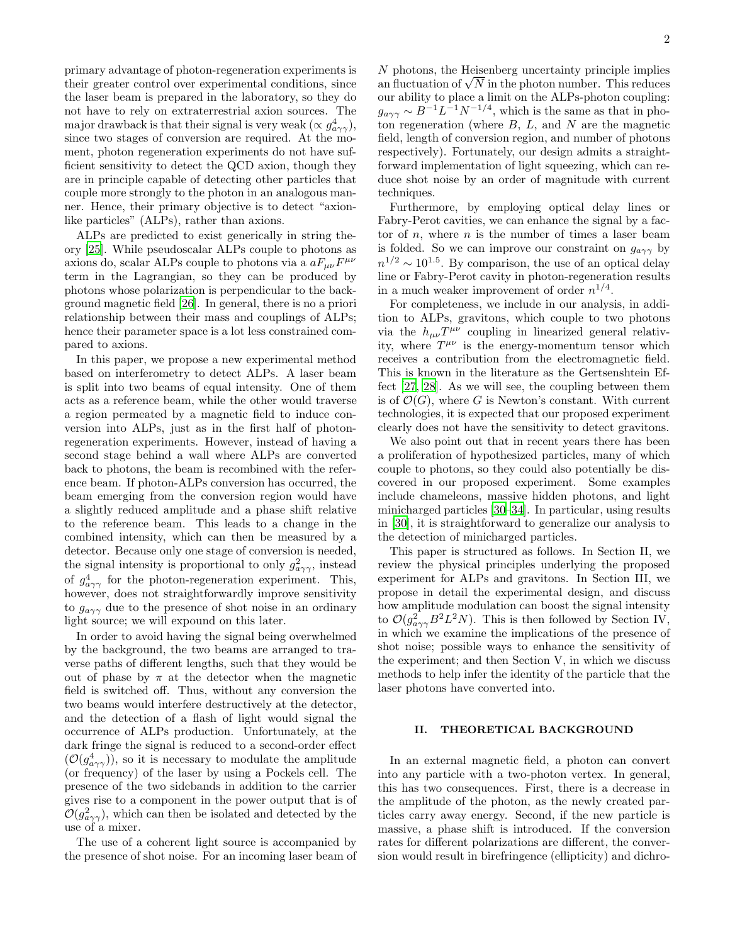primary advantage of photon-regeneration experiments is their greater control over experimental conditions, since the laser beam is prepared in the laboratory, so they do not have to rely on extraterrestrial axion sources. The major drawback is that their signal is very weak  $(\propto g_{a\gamma\gamma}^4)$ , since two stages of conversion are required. At the moment, photon regeneration experiments do not have sufficient sensitivity to detect the QCD axion, though they are in principle capable of detecting other particles that couple more strongly to the photon in an analogous manner. Hence, their primary objective is to detect "axionlike particles" (ALPs), rather than axions.

ALPs are predicted to exist generically in string theory [\[25](#page-6-14)]. While pseudoscalar ALPs couple to photons as axions do, scalar ALPs couple to photons via a  $aF_{\mu\nu}F^{\mu\nu}$ term in the Lagrangian, so they can be produced by photons whose polarization is perpendicular to the background magnetic field [\[26\]](#page-6-15). In general, there is no a priori relationship between their mass and couplings of ALPs; hence their parameter space is a lot less constrained compared to axions.

In this paper, we propose a new experimental method based on interferometry to detect ALPs. A laser beam is split into two beams of equal intensity. One of them acts as a reference beam, while the other would traverse a region permeated by a magnetic field to induce conversion into ALPs, just as in the first half of photonregeneration experiments. However, instead of having a second stage behind a wall where ALPs are converted back to photons, the beam is recombined with the reference beam. If photon-ALPs conversion has occurred, the beam emerging from the conversion region would have a slightly reduced amplitude and a phase shift relative to the reference beam. This leads to a change in the combined intensity, which can then be measured by a detector. Because only one stage of conversion is needed, the signal intensity is proportional to only  $g_{a\gamma\gamma}^2$ , instead of  $g_{a\gamma\gamma}^4$  for the photon-regeneration experiment. This, however, does not straightforwardly improve sensitivity to  $g_{a\gamma\gamma}$  due to the presence of shot noise in an ordinary light source; we will expound on this later.

In order to avoid having the signal being overwhelmed by the background, the two beams are arranged to traverse paths of different lengths, such that they would be out of phase by  $\pi$  at the detector when the magnetic field is switched off. Thus, without any conversion the two beams would interfere destructively at the detector, and the detection of a flash of light would signal the occurrence of ALPs production. Unfortunately, at the dark fringe the signal is reduced to a second-order effect  $(\mathcal{O}(g_{a\gamma\gamma}^4))$ , so it is necessary to modulate the amplitude (or frequency) of the laser by using a Pockels cell. The presence of the two sidebands in addition to the carrier gives rise to a component in the power output that is of  $\mathcal{O}(g_{a\gamma\gamma}^2)$ , which can then be isolated and detected by the use of a mixer.

The use of a coherent light source is accompanied by the presence of shot noise. For an incoming laser beam of

N photons, the Heisenberg uncertainty principle implies an fluctuation of  $\sqrt{N}$  in the photon number. This reduces our ability to place a limit on the ALPs-photon coupling:  $g_{a\gamma\gamma} \sim B^{-1} L^{-1} N^{-1/4}$ , which is the same as that in photon regeneration (where  $B, L$ , and  $N$  are the magnetic field, length of conversion region, and number of photons respectively). Fortunately, our design admits a straightforward implementation of light squeezing, which can reduce shot noise by an order of magnitude with current techniques.

Furthermore, by employing optical delay lines or Fabry-Perot cavities, we can enhance the signal by a factor of  $n$ , where  $n$  is the number of times a laser beam is folded. So we can improve our constraint on  $g_{a\gamma\gamma}$  by  $n^{1/2} \sim 10^{1.5}$ . By comparison, the use of an optical delay line or Fabry-Perot cavity in photon-regeneration results in a much weaker improvement of order  $n^{1/4}$ .

For completeness, we include in our analysis, in addition to ALPs, gravitons, which couple to two photons via the  $h_{\mu\nu}T^{\mu\nu}$  coupling in linearized general relativity, where  $T^{\mu\nu}$  is the energy-momentum tensor which receives a contribution from the electromagnetic field. This is known in the literature as the Gertsenshtein Effect [\[27](#page-6-16), [28](#page-6-17)]. As we will see, the coupling between them is of  $\mathcal{O}(G)$ , where G is Newton's constant. With current technologies, it is expected that our proposed experiment clearly does not have the sensitivity to detect gravitons.

We also point out that in recent years there has been a proliferation of hypothesized particles, many of which couple to photons, so they could also potentially be discovered in our proposed experiment. Some examples include chameleons, massive hidden photons, and light minicharged particles [\[30](#page-6-18)[–34](#page-7-5)]. In particular, using results in [\[30](#page-6-18)], it is straightforward to generalize our analysis to the detection of minicharged particles.

This paper is structured as follows. In Section II, we review the physical principles underlying the proposed experiment for ALPs and gravitons. In Section III, we propose in detail the experimental design, and discuss how amplitude modulation can boost the signal intensity to  $\mathcal{O}(g_{a\gamma\gamma}^2B^2L^2N)$ . This is then followed by Section IV, in which we examine the implications of the presence of shot noise; possible ways to enhance the sensitivity of the experiment; and then Section V, in which we discuss methods to help infer the identity of the particle that the laser photons have converted into.

# II. THEORETICAL BACKGROUND

In an external magnetic field, a photon can convert into any particle with a two-photon vertex. In general, this has two consequences. First, there is a decrease in the amplitude of the photon, as the newly created particles carry away energy. Second, if the new particle is massive, a phase shift is introduced. If the conversion rates for different polarizations are different, the conversion would result in birefringence (ellipticity) and dichro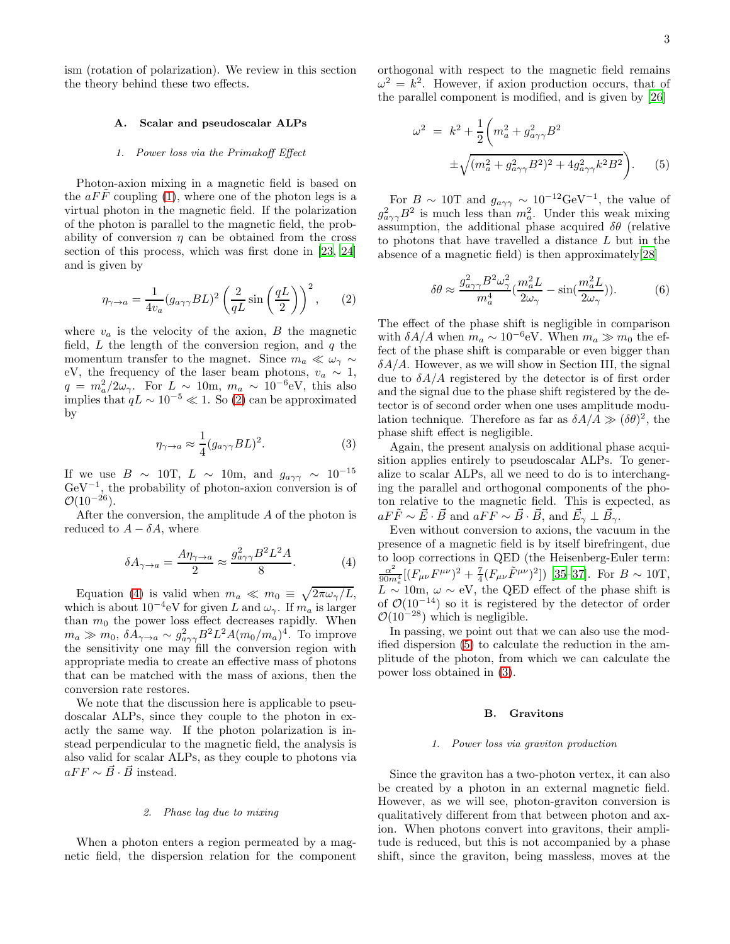ism (rotation of polarization). We review in this section the theory behind these two effects.

# A. Scalar and pseudoscalar ALPs

# 1. Power loss via the Primakoff Effect

Photon-axion mixing in a magnetic field is based on the  $aF\ddot{F}$  coupling [\(1\)](#page-0-0), where one of the photon legs is a virtual photon in the magnetic field. If the polarization of the photon is parallel to the magnetic field, the probability of conversion  $\eta$  can be obtained from the cross section of this process, which was first done in [\[23,](#page-6-12) [24](#page-6-13)] and is given by

<span id="page-2-0"></span>
$$
\eta_{\gamma \to a} = \frac{1}{4v_a} (g_{a\gamma\gamma} BL)^2 \left(\frac{2}{qL} \sin\left(\frac{qL}{2}\right)\right)^2, \qquad (2)
$$

where  $v_a$  is the velocity of the axion,  $B$  the magnetic field,  $L$  the length of the conversion region, and  $q$  the momentum transfer to the magnet. Since  $m_a \ll \omega_\gamma \sim$ eV, the frequency of the laser beam photons,  $v_a \sim 1$ ,  $q = m_a^2/2\omega_\gamma$ . For  $L \sim 10$ m,  $m_a \sim 10^{-6}$ eV, this also implies that  $qL \sim 10^{-5} \ll 1$ . So [\(2\)](#page-2-0) can be approximated by

<span id="page-2-3"></span>
$$
\eta_{\gamma \to a} \approx \frac{1}{4} (g_{a\gamma\gamma} BL)^2. \tag{3}
$$

If we use  $B \sim 10$ T,  $L \sim 10$ m, and  $g_{a\gamma\gamma} \sim 10^{-15}$  $GeV^{-1}$ , the probability of photon-axion conversion is of  $\mathcal{O}(10^{-26})$ .

After the conversion, the amplitude A of the photon is reduced to  $A - \delta A$ , where

<span id="page-2-1"></span>
$$
\delta A_{\gamma \to a} = \frac{A \eta_{\gamma \to a}}{2} \approx \frac{g_{a\gamma\gamma}^2 B^2 L^2 A}{8}.
$$
 (4)

Equation [\(4\)](#page-2-1) is valid when  $m_a \ll m_0 \equiv \sqrt{2\pi\omega_\gamma/L}$ , which is about  $10^{-4}$ eV for given L and  $\omega_{\gamma}$ . If  $m_a$  is larger than  $m_0$  the power loss effect decreases rapidly. When  $m_a \gg m_0$ ,  $\delta A_{\gamma \to a} \sim g_{a\gamma\gamma}^2 B^2 L^2 A (m_0/m_a)^4$ . To improve the sensitivity one may fill the conversion region with appropriate media to create an effective mass of photons that can be matched with the mass of axions, then the conversion rate restores.

We note that the discussion here is applicable to pseudoscalar ALPs, since they couple to the photon in exactly the same way. If the photon polarization is instead perpendicular to the magnetic field, the analysis is also valid for scalar ALPs, as they couple to photons via  $aFF \sim \vec{B} \cdot \vec{B}$  instead.

# 2. Phase lag due to mixing

When a photon enters a region permeated by a magnetic field, the dispersion relation for the component orthogonal with respect to the magnetic field remains  $\omega^2 = k^2$ . However, if axion production occurs, that of the parallel component is modified, and is given by [\[26\]](#page-6-15)

<span id="page-2-2"></span>
$$
\omega^2 = k^2 + \frac{1}{2} \left( m_a^2 + g_{a\gamma\gamma}^2 B^2 \right)
$$
  
 
$$
\pm \sqrt{(m_a^2 + g_{a\gamma\gamma}^2 B^2)^2 + 4g_{a\gamma\gamma}^2 k^2 B^2}.
$$
 (5)

For  $B \sim 10$ T and  $g_{a\gamma\gamma} \sim 10^{-12} \text{GeV}^{-1}$ , the value of  $g_{a\gamma\gamma}^2 B^2$  is much less than  $m_a^2$ . Under this weak mixing assumption, the additional phase acquired  $\delta\theta$  (relative to photons that have travelled a distance L but in the absence of a magnetic field) is then approximately[\[28](#page-6-17)]

<span id="page-2-4"></span>
$$
\delta\theta \approx \frac{g_{a\gamma\gamma}^2 B^2 \omega_{\gamma}^2}{m_a^4} \left(\frac{m_a^2 L}{2\omega_{\gamma}} - \sin(\frac{m_a^2 L}{2\omega_{\gamma}})\right). \tag{6}
$$

The effect of the phase shift is negligible in comparison with  $\delta A/A$  when  $m_a \sim 10^{-6}$ eV. When  $m_a \gg m_0$  the effect of the phase shift is comparable or even bigger than  $\delta A/A$ . However, as we will show in Section III, the signal due to  $\delta A/A$  registered by the detector is of first order and the signal due to the phase shift registered by the detector is of second order when one uses amplitude modulation technique. Therefore as far as  $\delta A/A \gg (\delta \theta)^2$ , the phase shift effect is negligible.

Again, the present analysis on additional phase acquisition applies entirely to pseudoscalar ALPs. To generalize to scalar ALPs, all we need to do is to interchanging the parallel and orthogonal components of the photon relative to the magnetic field. This is expected, as  $aF\tilde{F} \sim \vec{E} \cdot \vec{B}$  and  $aFF \sim \vec{B} \cdot \vec{B}$ , and  $\vec{E}_{\gamma} \perp \vec{B}_{\gamma}$ .

Even without conversion to axions, the vacuum in the presence of a magnetic field is by itself birefringent, due to loop corrections in QED (the Heisenberg-Euler term:  $\alpha^2$  $\frac{\alpha^2}{90m_e^4}[(F_{\mu\nu}F^{\mu\nu})^2 + \frac{7}{4}(F_{\mu\nu}\tilde{F}^{\mu\nu})^2]$  [\[35](#page-7-6)[–37](#page-7-7)]. For  $B \sim 10$ T,  $L \sim 10$ m,  $\omega \sim eV$ , the QED effect of the phase shift is of  $\mathcal{O}(10^{-14})$  so it is registered by the detector of order  $\mathcal{O}(10^{-28})$  which is negligible.

In passing, we point out that we can also use the modified dispersion [\(5\)](#page-2-2) to calculate the reduction in the amplitude of the photon, from which we can calculate the power loss obtained in [\(3\)](#page-2-3).

### B. Gravitons

### 1. Power loss via graviton production

Since the graviton has a two-photon vertex, it can also be created by a photon in an external magnetic field. However, as we will see, photon-graviton conversion is qualitatively different from that between photon and axion. When photons convert into gravitons, their amplitude is reduced, but this is not accompanied by a phase shift, since the graviton, being massless, moves at the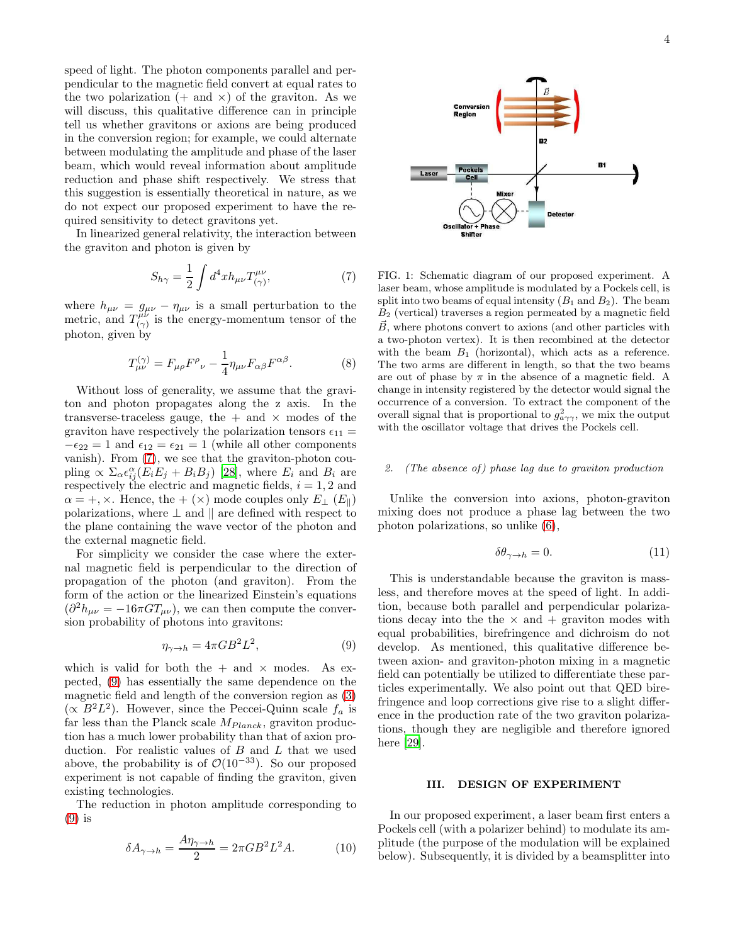speed of light. The photon components parallel and perpendicular to the magnetic field convert at equal rates to the two polarization  $(+$  and  $\times)$  of the graviton. As we will discuss, this qualitative difference can in principle tell us whether gravitons or axions are being produced in the conversion region; for example, we could alternate between modulating the amplitude and phase of the laser beam, which would reveal information about amplitude reduction and phase shift respectively. We stress that this suggestion is essentially theoretical in nature, as we do not expect our proposed experiment to have the required sensitivity to detect gravitons yet.

In linearized general relativity, the interaction between the graviton and photon is given by

<span id="page-3-0"></span>
$$
S_{h\gamma} = \frac{1}{2} \int d^4x h_{\mu\nu} T^{\mu\nu}_{(\gamma)},\tag{7}
$$

where  $h_{\mu\nu} = g_{\mu\nu} - \eta_{\mu\nu}$  is a small perturbation to the metric, and  $T_{(\infty)}^{\mu\nu}$  $\chi_{(\gamma)}^{\mu\nu}$  is the energy-momentum tensor of the photon, given by

$$
T_{\mu\nu}^{(\gamma)} = F_{\mu\rho}F^{\rho}{}_{\nu} - \frac{1}{4}\eta_{\mu\nu}F_{\alpha\beta}F^{\alpha\beta}.
$$
 (8)

Without loss of generality, we assume that the graviton and photon propagates along the z axis. In the transverse-traceless gauge, the  $+$  and  $\times$  modes of the graviton have respectively the polarization tensors  $\epsilon_{11} =$  $-\epsilon_{22} = 1$  and  $\epsilon_{12} = \epsilon_{21} = 1$  (while all other components vanish). From [\(7\)](#page-3-0), we see that the graviton-photon coupling  $\propto \sum_{\alpha} \epsilon_{ij}^{\alpha} (E_i E_j + B_i B_j)$  [\[28](#page-6-17)], where  $E_i$  and  $B_i$  are respectively the electric and magnetic fields,  $i = 1, 2$  and  $\alpha = +, \times$ . Hence, the  $+ (\times)$  mode couples only  $E_{\perp} (E_{\parallel})$ polarizations, where  $\perp$  and  $\parallel$  are defined with respect to the plane containing the wave vector of the photon and the external magnetic field.

For simplicity we consider the case where the external magnetic field is perpendicular to the direction of propagation of the photon (and graviton). From the form of the action or the linearized Einstein's equations  $(\partial^2 h_{\mu\nu} = -16\pi G T_{\mu\nu}),$  we can then compute the conversion probability of photons into gravitons:

<span id="page-3-1"></span>
$$
\eta_{\gamma \to h} = 4\pi G B^2 L^2,\tag{9}
$$

which is valid for both the  $+$  and  $\times$  modes. As expected, [\(9\)](#page-3-1) has essentially the same dependence on the magnetic field and length of the conversion region as [\(3\)](#page-2-3)  $(\propto B^2 L^2)$ . However, since the Peccei-Quinn scale  $f_a$  is far less than the Planck scale  $M_{Planck}$ , graviton production has a much lower probability than that of axion production. For realistic values of  $B$  and  $L$  that we used above, the probability is of  $\mathcal{O}(10^{-33})$ . So our proposed experiment is not capable of finding the graviton, given existing technologies.

The reduction in photon amplitude corresponding to [\(9\)](#page-3-1) is

$$
\delta A_{\gamma \to h} = \frac{A \eta_{\gamma \to h}}{2} = 2\pi G B^2 L^2 A. \tag{10}
$$



<span id="page-3-2"></span>FIG. 1: Schematic diagram of our proposed experiment. A laser beam, whose amplitude is modulated by a Pockels cell, is split into two beams of equal intensity  $(B_1 \text{ and } B_2)$ . The beam  $B<sub>2</sub>$  (vertical) traverses a region permeated by a magnetic field  $\vec{B}$ , where photons convert to axions (and other particles with a two-photon vertex). It is then recombined at the detector with the beam  $B_1$  (horizontal), which acts as a reference. The two arms are different in length, so that the two beams are out of phase by  $\pi$  in the absence of a magnetic field. A change in intensity registered by the detector would signal the occurrence of a conversion. To extract the component of the overall signal that is proportional to  $g_{a\gamma\gamma}^2$ , we mix the output with the oscillator voltage that drives the Pockels cell.

# 2. (The absence of ) phase lag due to graviton production

Unlike the conversion into axions, photon-graviton mixing does not produce a phase lag between the two photon polarizations, so unlike [\(6\)](#page-2-4),

$$
\delta \theta_{\gamma \to h} = 0. \tag{11}
$$

This is understandable because the graviton is massless, and therefore moves at the speed of light. In addition, because both parallel and perpendicular polarizations decay into the the  $\times$  and  $+$  graviton modes with equal probabilities, birefringence and dichroism do not develop. As mentioned, this qualitative difference between axion- and graviton-photon mixing in a magnetic field can potentially be utilized to differentiate these particles experimentally. We also point out that QED birefringence and loop corrections give rise to a slight difference in the production rate of the two graviton polarizations, though they are negligible and therefore ignored here [\[29](#page-6-19)].

# III. DESIGN OF EXPERIMENT

In our proposed experiment, a laser beam first enters a Pockels cell (with a polarizer behind) to modulate its amplitude (the purpose of the modulation will be explained below). Subsequently, it is divided by a beamsplitter into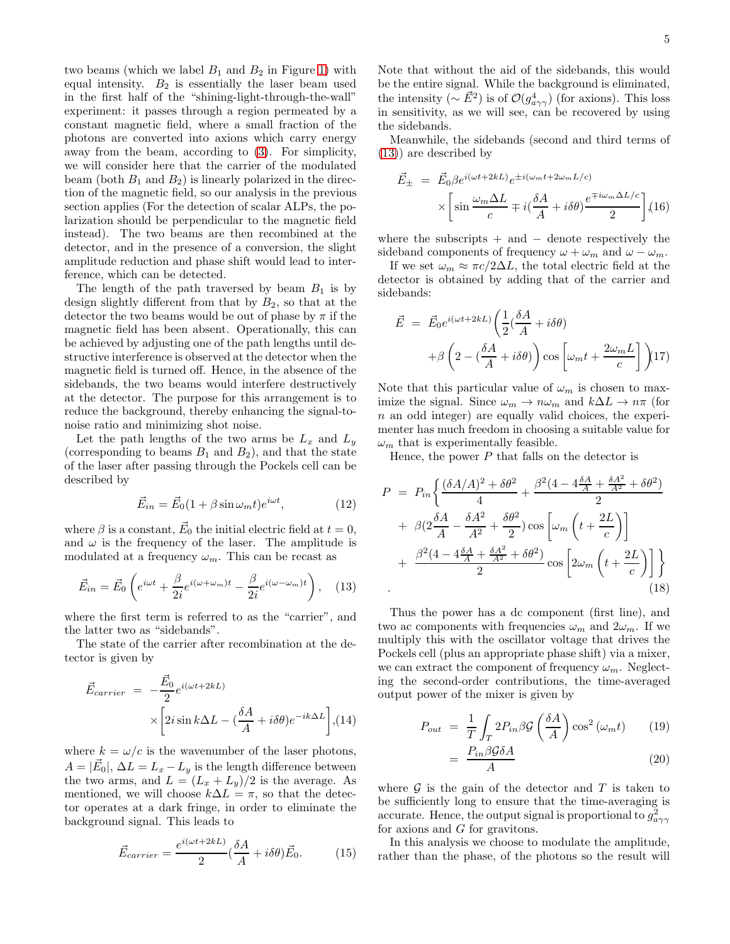two beams (which we label  $B_1$  and  $B_2$  in Figure [1\)](#page-3-2) with equal intensity.  $B_2$  is essentially the laser beam used in the first half of the "shining-light-through-the-wall" experiment: it passes through a region permeated by a constant magnetic field, where a small fraction of the photons are converted into axions which carry energy away from the beam, according to [\(3\)](#page-2-3). For simplicity, we will consider here that the carrier of the modulated beam (both  $B_1$  and  $B_2$ ) is linearly polarized in the direction of the magnetic field, so our analysis in the previous section applies (For the detection of scalar ALPs, the polarization should be perpendicular to the magnetic field instead). The two beams are then recombined at the detector, and in the presence of a conversion, the slight amplitude reduction and phase shift would lead to interference, which can be detected.

The length of the path traversed by beam  $B_1$  is by design slightly different from that by  $B_2$ , so that at the detector the two beams would be out of phase by  $\pi$  if the magnetic field has been absent. Operationally, this can be achieved by adjusting one of the path lengths until destructive interference is observed at the detector when the magnetic field is turned off. Hence, in the absence of the sidebands, the two beams would interfere destructively at the detector. The purpose for this arrangement is to reduce the background, thereby enhancing the signal-tonoise ratio and minimizing shot noise.

Let the path lengths of the two arms be  $L_x$  and  $L_y$ (corresponding to beams  $B_1$  and  $B_2$ ), and that the state of the laser after passing through the Pockels cell can be described by

$$
\vec{E}_{in} = \vec{E}_0 (1 + \beta \sin \omega_m t) e^{i\omega t}, \qquad (12)
$$

where  $\beta$  is a constant,  $\vec{E}_0$  the initial electric field at  $t = 0$ , and  $\omega$  is the frequency of the laser. The amplitude is modulated at a frequency  $\omega_m$ . This can be recast as

<span id="page-4-0"></span>
$$
\vec{E}_{in} = \vec{E}_0 \left( e^{i\omega t} + \frac{\beta}{2i} e^{i(\omega + \omega_m)t} - \frac{\beta}{2i} e^{i(\omega - \omega_m)t} \right), \quad (13)
$$

where the first term is referred to as the "carrier", and the latter two as "sidebands".

The state of the carrier after recombination at the detector is given by

$$
\vec{E}_{carrier} = -\frac{\vec{E}_0}{2} e^{i(\omega t + 2kL)} \times \left[ 2i \sin k\Delta L - (\frac{\delta A}{A} + i\delta\theta) e^{-ik\Delta L} \right], (14)
$$

where  $k = \omega/c$  is the wavenumber of the laser photons,  $A = |\vec{E}_0|, \Delta L = L_x - L_y$  is the length difference between the two arms, and  $L = (L_x + L_y)/2$  is the average. As mentioned, we will choose  $k\Delta L = \pi$ , so that the detector operates at a dark fringe, in order to eliminate the background signal. This leads to

$$
\vec{E}_{carrier} = \frac{e^{i(\omega t + 2kL)}}{2} \left(\frac{\delta A}{A} + i\delta\theta\right) \vec{E}_0.
$$
 (15)

Note that without the aid of the sidebands, this would be the entire signal. While the background is eliminated, the intensity  $({\sim \vec{E}^2})$  is of  $\mathcal{O}(g_{a\gamma\gamma}^4)$  (for axions). This loss in sensitivity, as we will see, can be recovered by using the sidebands.

Meanwhile, the sidebands (second and third terms of [\(13\)](#page-4-0)) are described by

$$
\vec{E}_{\pm} = \vec{E}_0 \beta e^{i(\omega t + 2kL)} e^{\pm i(\omega_m t + 2\omega_m L/c)}
$$

$$
\times \left[ \sin \frac{\omega_m \Delta L}{c} \mp i(\frac{\delta A}{A} + i\delta \theta) \frac{e^{\mp i\omega_m \Delta L/c}}{2} \right], (16)
$$

where the subscripts  $+$  and  $-$  denote respectively the sideband components of frequency  $\omega + \omega_m$  and  $\omega - \omega_m$ .

If we set  $\omega_m \approx \pi c/2\Delta L$ , the total electric field at the detector is obtained by adding that of the carrier and sidebands:

$$
\vec{E} = \vec{E}_0 e^{i(\omega t + 2kL)} \left( \frac{1}{2} (\frac{\delta A}{A} + i\delta \theta) + \beta \left( 2 - (\frac{\delta A}{A} + i\delta \theta) \right) \cos \left[ \omega_m t + \frac{2\omega_m L}{c} \right] \right)
$$
 (17)

Note that this particular value of  $\omega_m$  is chosen to maximize the signal. Since  $\omega_m \to n\omega_m$  and  $k\Delta L \to n\pi$  (for  $n$  an odd integer) are equally valid choices, the experimenter has much freedom in choosing a suitable value for  $\omega_m$  that is experimentally feasible.

Hence, the power  $P$  that falls on the detector is

$$
P = P_{in} \left\{ \frac{(\delta A/A)^2 + \delta \theta^2}{4} + \frac{\beta^2 (4 - 4\frac{\delta A}{A} + \frac{\delta A^2}{A^2} + \delta \theta^2)}{2} + \beta (2\frac{\delta A}{A} - \frac{\delta A^2}{A^2} + \frac{\delta \theta^2}{2}) \cos \left[ \omega_m \left( t + \frac{2L}{c} \right) \right] + \frac{\beta^2 (4 - 4\frac{\delta A}{A} + \frac{\delta A^2}{A^2} + \delta \theta^2)}{2} \cos \left[ 2\omega_m \left( t + \frac{2L}{c} \right) \right] \right\}
$$
\n(18)

Thus the power has a dc component (first line), and two ac components with frequencies  $\omega_m$  and  $2\omega_m$ . If we multiply this with the oscillator voltage that drives the Pockels cell (plus an appropriate phase shift) via a mixer, we can extract the component of frequency  $\omega_m$ . Neglecting the second-order contributions, the time-averaged output power of the mixer is given by

$$
P_{out} = \frac{1}{T} \int_{T} 2P_{in} \beta \mathcal{G} \left(\frac{\delta A}{A}\right) \cos^2\left(\omega_m t\right) \tag{19}
$$

$$
=\frac{P_{in}\beta\mathcal{G}\delta A}{A}\tag{20}
$$

where  $\mathcal G$  is the gain of the detector and T is taken to be sufficiently long to ensure that the time-averaging is accurate. Hence, the output signal is proportional to  $g_{a\gamma\gamma}^2$ for axions and G for gravitons.

In this analysis we choose to modulate the amplitude, rather than the phase, of the photons so the result will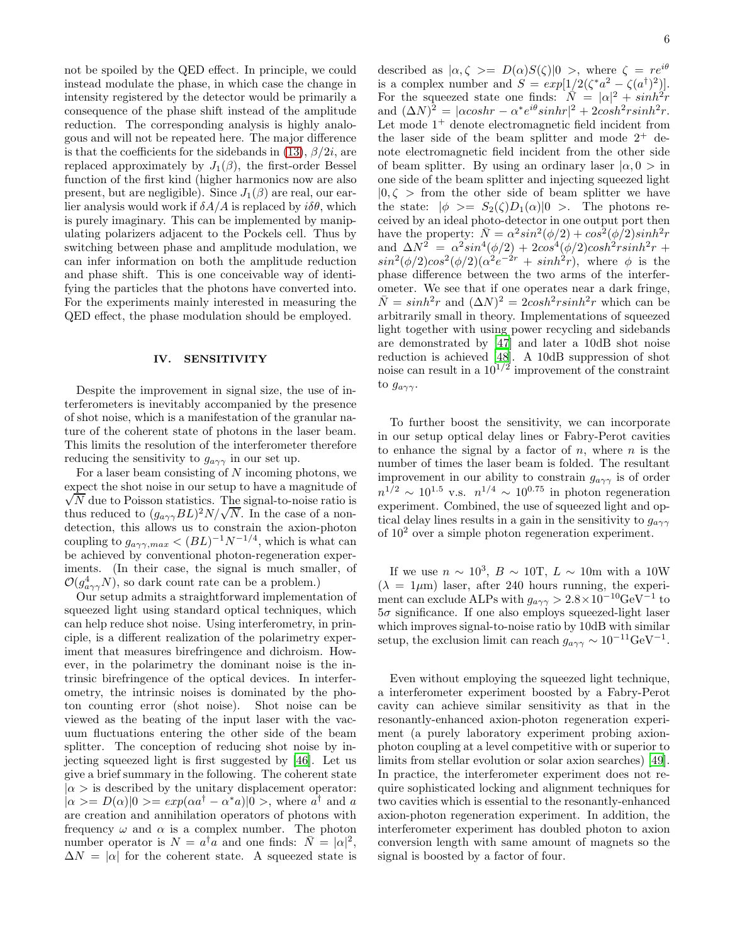not be spoiled by the QED effect. In principle, we could instead modulate the phase, in which case the change in intensity registered by the detector would be primarily a consequence of the phase shift instead of the amplitude reduction. The corresponding analysis is highly analogous and will not be repeated here. The major difference is that the coefficients for the sidebands in [\(13\)](#page-4-0),  $\beta/2i$ , are replaced approximately by  $J_1(\beta)$ , the first-order Bessel function of the first kind (higher harmonics now are also present, but are negligible). Since  $J_1(\beta)$  are real, our earlier analysis would work if  $\delta A/A$  is replaced by  $i\delta\theta$ , which is purely imaginary. This can be implemented by manipulating polarizers adjacent to the Pockels cell. Thus by switching between phase and amplitude modulation, we can infer information on both the amplitude reduction and phase shift. This is one conceivable way of identifying the particles that the photons have converted into. For the experiments mainly interested in measuring the QED effect, the phase modulation should be employed.

# IV. SENSITIVITY

Despite the improvement in signal size, the use of interferometers is inevitably accompanied by the presence of shot noise, which is a manifestation of the granular nature of the coherent state of photons in the laser beam. This limits the resolution of the interferometer therefore reducing the sensitivity to  $g_{a\gamma\gamma}$  in our set up.

For a laser beam consisting of  $N$  incoming photons, we expect the shot noise in our setup to have a magnitude of  $\sqrt{N}$  due to Poisson statistics. The signal-to-noise ratio is thus reduced to  $(g_{a\gamma\gamma}BL)^2N/\sqrt{N}$ . In the case of a nondetection, this allows us to constrain the axion-photon coupling to  $g_{a\gamma\gamma,max} < (BL)^{-1} N^{-1/4}$ , which is what can be achieved by conventional photon-regeneration experiments. (In their case, the signal is much smaller, of  $\mathcal{O}(g_{a\gamma\gamma}^{4}N)$ , so dark count rate can be a problem.)

Our setup admits a straightforward implementation of squeezed light using standard optical techniques, which can help reduce shot noise. Using interferometry, in principle, is a different realization of the polarimetry experiment that measures birefringence and dichroism. However, in the polarimetry the dominant noise is the intrinsic birefringence of the optical devices. In interferometry, the intrinsic noises is dominated by the photon counting error (shot noise). Shot noise can be viewed as the beating of the input laser with the vacuum fluctuations entering the other side of the beam splitter. The conception of reducing shot noise by injecting squeezed light is first suggested by [\[46\]](#page-7-8). Let us give a brief summary in the following. The coherent state  $|\alpha\rangle$  is described by the unitary displacement operator:  $|\alpha \rangle = D(\alpha)|0 \rangle = exp(\alpha a^{\dagger} - \alpha^* a)|0 \rangle$ , where  $a^{\dagger}$  and a are creation and annihilation operators of photons with frequency  $\omega$  and  $\alpha$  is a complex number. The photon number operator is  $N = a^{\dagger} a$  and one finds:  $\bar{N} = |\alpha|^2$ ,  $\Delta N = |\alpha|$  for the coherent state. A squeezed state is

described as  $|\alpha, \zeta \rangle = D(\alpha)S(\zeta)|0\rangle$ , where  $\zeta = re^{i\theta}$ is a complex number and  $S = exp[1/(2(\zeta^* a^2 - \zeta(a^{\dagger})^2))].$ For the squeezed state one finds:  $\overrightarrow{N} = |\alpha|^2 + sinh^2r$ and  $(\Delta N)^2 = |\alpha \cosh r - \alpha^* e^{i\theta} \sinh r|^2 + 2\cosh^2 r \sinh^2 r$ . Let mode  $1^+$  denote electromagnetic field incident from the laser side of the beam splitter and mode  $2^+$  denote electromagnetic field incident from the other side of beam splitter. By using an ordinary laser  $|\alpha, 0\rangle$  in one side of the beam splitter and injecting squeezed light  $|0,\zeta\rangle$  from the other side of beam splitter we have the state:  $|\phi \rangle = S_2(\zeta)D_1(\alpha)|0 \rangle$ . The photons received by an ideal photo-detector in one output port then have the property:  $\bar{N} = \alpha^2 sin^2(\phi/2) + cos^2(\phi/2) sinh^2r$ and  $\Delta N^2 = \alpha^2 \sin^4(\phi/2) + 2\cos^4(\phi/2)\cosh^2 r \sinh^2 r +$  $sin^2(\phi/2)cos^2(\phi/2)(\alpha^2e^{-2r} + sinh^2r)$ , where  $\phi$  is the phase difference between the two arms of the interferometer. We see that if one operates near a dark fringe,  $\bar{N} = \sinh^2 r$  and  $(\Delta N)^2 = 2\cosh^2 r \sinh^2 r$  which can be arbitrarily small in theory. Implementations of squeezed light together with using power recycling and sidebands are demonstrated by [\[47](#page-7-9)] and later a 10dB shot noise reduction is achieved [\[48\]](#page-7-10). A 10dB suppression of shot noise can result in a  $10^{1/2}$  improvement of the constraint to  $g_{a\gamma\gamma}$ .

To further boost the sensitivity, we can incorporate in our setup optical delay lines or Fabry-Perot cavities to enhance the signal by a factor of  $n$ , where  $n$  is the number of times the laser beam is folded. The resultant improvement in our ability to constrain  $g_{a\gamma\gamma}$  is of order  $n^{1/2} \sim 10^{1.5}$  v.s.  $n^{1/4} \sim 10^{0.75}$  in photon regeneration experiment. Combined, the use of squeezed light and optical delay lines results in a gain in the sensitivity to  $g_{a\gamma\gamma}$ of  $10^2$  over a simple photon regeneration experiment.

If we use  $n \sim 10^3$ ,  $B \sim 10$ T,  $L \sim 10$ m with a 10W  $(\lambda = 1 \mu m)$  laser, after 240 hours running, the experiment can exclude ALPs with  $g_{a\gamma\gamma} > 2.8 \times 10^{-10} \text{GeV}^{-1}$  to  $5\sigma$  significance. If one also employs squeezed-light laser which improves signal-to-noise ratio by  $10dB$  with similar setup, the exclusion limit can reach  $g_{a\gamma\gamma} \sim 10^{-11} \text{GeV}^{-1}$ .

Even without employing the squeezed light technique, a interferometer experiment boosted by a Fabry-Perot cavity can achieve similar sensitivity as that in the resonantly-enhanced axion-photon regeneration experiment (a purely laboratory experiment probing axionphoton coupling at a level competitive with or superior to limits from stellar evolution or solar axion searches) [\[49\]](#page-7-11). In practice, the interferometer experiment does not require sophisticated locking and alignment techniques for two cavities which is essential to the resonantly-enhanced axion-photon regeneration experiment. In addition, the interferometer experiment has doubled photon to axion conversion length with same amount of magnets so the signal is boosted by a factor of four.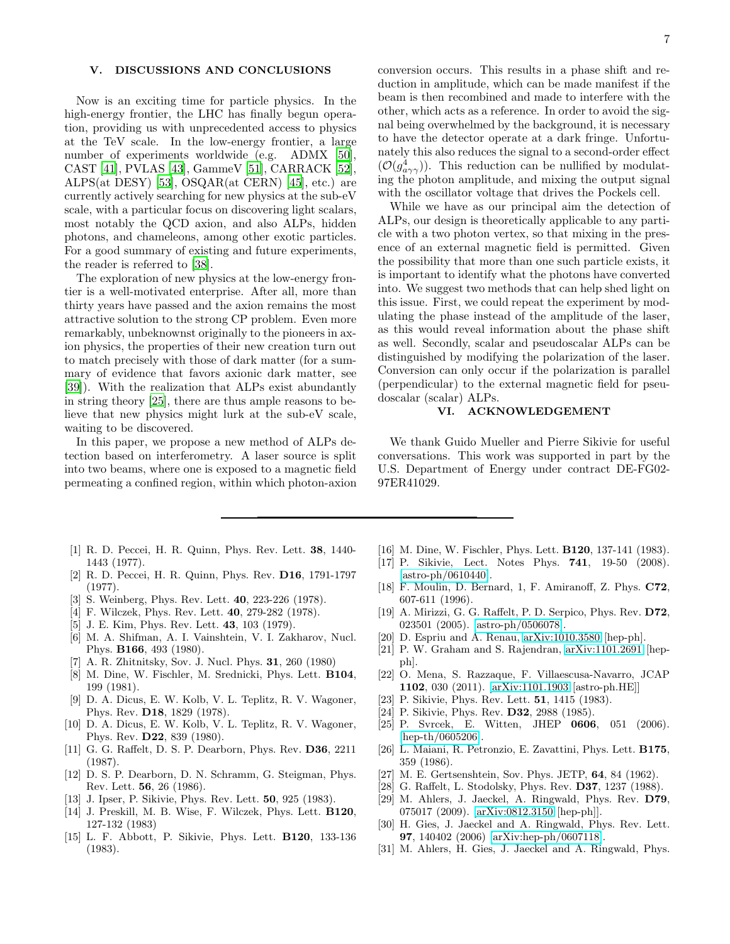# V. DISCUSSIONS AND CONCLUSIONS

Now is an exciting time for particle physics. In the high-energy frontier, the LHC has finally begun operation, providing us with unprecedented access to physics at the TeV scale. In the low-energy frontier, a large number of experiments worldwide (e.g. ADMX [\[50\]](#page-7-12), CAST [\[41\]](#page-7-13), PVLAS [\[43\]](#page-7-1), GammeV [\[51\]](#page-7-14), CARRACK [\[52\]](#page-7-15), ALPS(at DESY) [\[53\]](#page-7-16), OSQAR(at CERN) [\[45\]](#page-7-3), etc.) are currently actively searching for new physics at the sub-eV scale, with a particular focus on discovering light scalars, most notably the QCD axion, and also ALPs, hidden photons, and chameleons, among other exotic particles. For a good summary of existing and future experiments, the reader is referred to [\[38\]](#page-7-17).

The exploration of new physics at the low-energy frontier is a well-motivated enterprise. After all, more than thirty years have passed and the axion remains the most attractive solution to the strong CP problem. Even more remarkably, unbeknownst originally to the pioneers in axion physics, the properties of their new creation turn out to match precisely with those of dark matter (for a summary of evidence that favors axionic dark matter, see [\[39\]](#page-7-18)). With the realization that ALPs exist abundantly in string theory [\[25\]](#page-6-14), there are thus ample reasons to believe that new physics might lurk at the sub-eV scale, waiting to be discovered.

In this paper, we propose a new method of ALPs detection based on interferometry. A laser source is split into two beams, where one is exposed to a magnetic field permeating a confined region, within which photon-axion

- <span id="page-6-0"></span>[1] R. D. Peccei, H. R. Quinn, Phys. Rev. Lett. 38, 1440- 1443 (1977).
- <span id="page-6-1"></span>[2] R. D. Peccei, H. R. Quinn, Phys. Rev. D16, 1791-1797 (1977).
- <span id="page-6-2"></span>[3] S. Weinberg, Phys. Rev. Lett. 40, 223-226 (1978).
- <span id="page-6-3"></span>[4] F. Wilczek, Phys. Rev. Lett. 40, 279-282 (1978).
- <span id="page-6-4"></span>[5] J. E. Kim, Phys. Rev. Lett. **43**, 103 (1979).
- [6] M. A. Shifman, A. I. Vainshtein, V. I. Zakharov, Nucl. Phys. B166, 493 (1980).
- [7] A. R. Zhitnitsky, Sov. J. Nucl. Phys. 31, 260 (1980)
- <span id="page-6-5"></span>[8] M. Dine, W. Fischler, M. Srednicki, Phys. Lett. B104, 199 (1981).
- <span id="page-6-6"></span>[9] D. A. Dicus, E. W. Kolb, V. L. Teplitz, R. V. Wagoner, Phys. Rev. D18, 1829 (1978).
- [10] D. A. Dicus, E. W. Kolb, V. L. Teplitz, R. V. Wagoner, Phys. Rev. D22, 839 (1980).
- [11] G. G. Raffelt, D. S. P. Dearborn, Phys. Rev. D36, 2211 (1987).
- <span id="page-6-7"></span>[12] D. S. P. Dearborn, D. N. Schramm, G. Steigman, Phys. Rev. Lett. 56, 26 (1986).
- <span id="page-6-8"></span>[13] J. Ipser, P. Sikivie, Phys. Rev. Lett. **50**, 925 (1983).
- [14] J. Preskill, M. B. Wise, F. Wilczek, Phys. Lett. B120, 127-132 (1983)
- [15] L. F. Abbott, P. Sikivie, Phys. Lett. B120, 133-136 (1983).

conversion occurs. This results in a phase shift and reduction in amplitude, which can be made manifest if the beam is then recombined and made to interfere with the other, which acts as a reference. In order to avoid the signal being overwhelmed by the background, it is necessary to have the detector operate at a dark fringe. Unfortunately this also reduces the signal to a second-order effect  $(\mathcal{O}(g_{a\gamma\gamma}^4))$ . This reduction can be nullified by modulating the photon amplitude, and mixing the output signal with the oscillator voltage that drives the Pockels cell.

While we have as our principal aim the detection of ALPs, our design is theoretically applicable to any particle with a two photon vertex, so that mixing in the presence of an external magnetic field is permitted. Given the possibility that more than one such particle exists, it is important to identify what the photons have converted into. We suggest two methods that can help shed light on this issue. First, we could repeat the experiment by modulating the phase instead of the amplitude of the laser, as this would reveal information about the phase shift as well. Secondly, scalar and pseudoscalar ALPs can be distinguished by modifying the polarization of the laser. Conversion can only occur if the polarization is parallel (perpendicular) to the external magnetic field for pseudoscalar (scalar) ALPs.

# VI. ACKNOWLEDGEMENT

We thank Guido Mueller and Pierre Sikivie for useful conversations. This work was supported in part by the U.S. Department of Energy under contract DE-FG02- 97ER41029.

- [16] M. Dine, W. Fischler, Phys. Lett. **B120**, 137-141 (1983).
- <span id="page-6-9"></span>[17] P. Sikivie, Lect. Notes Phys. 741, 19-50 (2008). [\[astro-ph/0610440\]](http://arxiv.org/abs/astro-ph/0610440).
- <span id="page-6-10"></span>[18] F. Moulin, D. Bernard, 1, F. Amiranoff, Z. Phys. C72, 607-611 (1996).
- [19] A. Mirizzi, G. G. Raffelt, P. D. Serpico, Phys. Rev. D72, 023501 (2005). [\[astro-ph/0506078\]](http://arxiv.org/abs/astro-ph/0506078).
- [20] D. Espriu and A. Renau, [arXiv:1010.3580](http://arxiv.org/abs/1010.3580) [hep-ph].
- [21] P. W. Graham and S. Rajendran, [arXiv:1101.2691](http://arxiv.org/abs/1101.2691) [hepph].
- <span id="page-6-11"></span>[22] O. Mena, S. Razzaque, F. Villaescusa-Navarro, JCAP 1102, 030 (2011). [\[arXiv:1101.1903](http://arxiv.org/abs/1101.1903) [astro-ph.HE]]
- <span id="page-6-12"></span>[23] P. Sikivie, Phys. Rev. Lett. **51**, 1415 (1983).
- <span id="page-6-13"></span>[24] P. Sikivie, Phys. Rev. **D32**, 2988 (1985).
- <span id="page-6-14"></span>[25] P. Svrcek, E. Witten, JHEP 0606, 051 (2006). [\[hep-th/0605206\]](http://arxiv.org/abs/hep-th/0605206).
- <span id="page-6-15"></span>[26] L. Maiani, R. Petronzio, E. Zavattini, Phys. Lett. B175, 359 (1986).
- <span id="page-6-16"></span>[27] M. E. Gertsenshtein, Sov. Phys. JETP, 64, 84 (1962).<br>[28] G. Raffelt, L. Stodolsky, Phys. Rev. **D37**, 1237 (1988)
- <span id="page-6-17"></span>G. Raffelt, L. Stodolsky, Phys. Rev. D37, 1237 (1988).
- <span id="page-6-19"></span>[29] M. Ahlers, J. Jaeckel, A. Ringwald, Phys. Rev. D79, 075017 (2009). [\[arXiv:0812.3150](http://arxiv.org/abs/0812.3150) [hep-ph]].
- <span id="page-6-18"></span>[30] H. Gies, J. Jaeckel and A. Ringwald, Phys. Rev. Lett. 97, 140402 (2006) [\[arXiv:hep-ph/0607118\]](http://arxiv.org/abs/hep-ph/0607118).
- [31] M. Ahlers, H. Gies, J. Jaeckel and A. Ringwald, Phys.